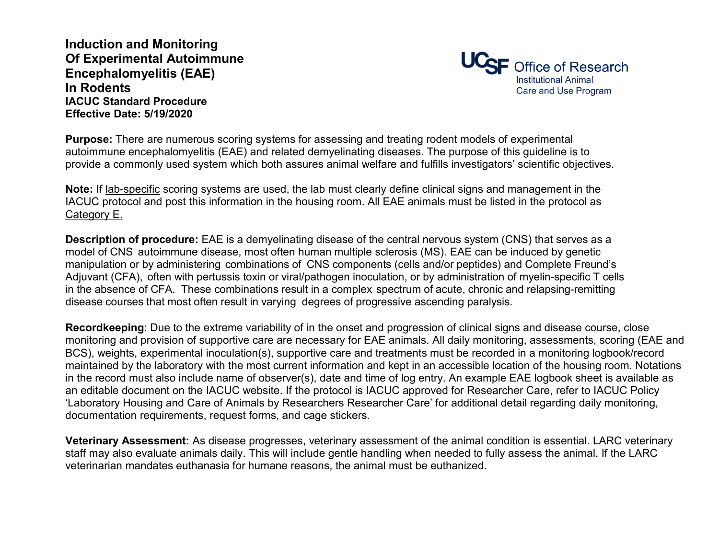**Induction and Monitoring Of Experimental Autoimmune Encephalomyelitis (EAE) In Rodents IACUC Standard Procedure Effective Date: 5/19/2020**



**Purpose:** There are numerous scoring systems for assessing and treating rodent models of experimental autoimmune encephalomyelitis (EAE) and related demyelinating diseases. The purpose of this guideline is to provide a commonly used system which both assures animal welfare and fulfills investigators' scientific objectives.

**Note:** If lab-specific scoring systems are used, the lab must clearly define clinical signs and management in the IACUC protocol and post this information in the housing room. All EAE animals must be listed in the protocol as Category E.

**Description of procedure:** EAE is a demyelinating disease of the central nervous system (CNS) that serves as a model of CNS autoimmune disease, most often human multiple sclerosis (MS). EAE can be induced by genetic manipulation or by administering combinations of CNS components (cells and/or peptides) and Complete Freund's Adjuvant (CFA), often with pertussis toxin or viral/pathogen inoculation, or by administration of myelin-specific T cells in the absence of CFA. These combinations result in a complex spectrum of acute, chronic and relapsing-remitting disease courses that most often result in varying degrees of progressive ascending paralysis.

**Recordkeeping**: Due to the extreme variability of in the onset and progression of clinical signs and disease course, close monitoring and provision of supportive care are necessary for EAE animals. All daily monitoring, assessments, scoring (EAE and BCS), weights, experimental inoculation(s), supportive care and treatments must be recorded in a monitoring logbook/record maintained by the laboratory with the most current information and kept in an accessible location of the housing room. Notations in the record must also include name of observer(s), date and time of log entry. An example EAE logbook sheet is available as an editable document on the IACUC website. If the protocol is IACUC approved for Researcher Care, refer to IACUC Policy 'Laboratory Housing and Care of Animals by Researchers Researcher Care' for additional detail regarding daily monitoring, documentation requirements, request forms, and cage stickers.

**Veterinary Assessment:** As disease progresses, veterinary assessment of the animal condition is essential. LARC veterinary staff may also evaluate animals daily. This will include gentle handling when needed to fully assess the animal. If the LARC veterinarian mandates euthanasia for humane reasons, the animal must be euthanized.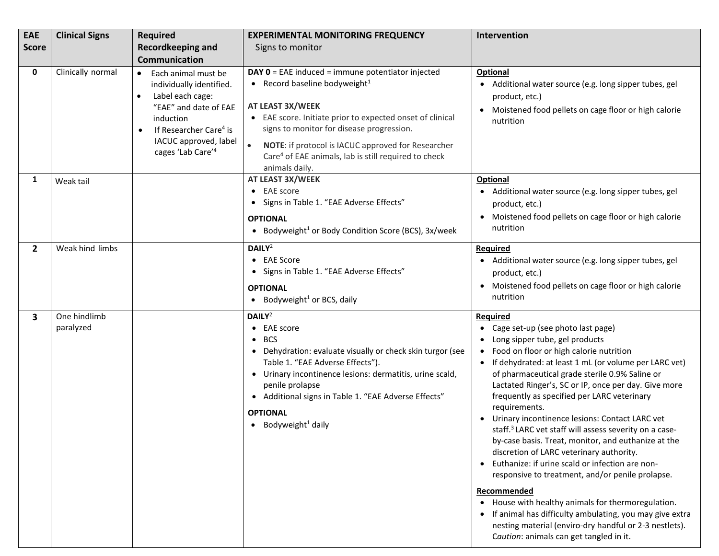| <b>EAE</b>     | <b>Clinical Signs</b>     | <b>Required</b>                                                                                                                                                                                                                                  | <b>EXPERIMENTAL MONITORING FREQUENCY</b>                                                                                                                                                                                                                                                                                                                                                     | Intervention                                                                                                                                                                                                                                                                                                                                                                                                                                                                                                                                                                                                                                                                                                                                                                                                                                                                                                                                                   |
|----------------|---------------------------|--------------------------------------------------------------------------------------------------------------------------------------------------------------------------------------------------------------------------------------------------|----------------------------------------------------------------------------------------------------------------------------------------------------------------------------------------------------------------------------------------------------------------------------------------------------------------------------------------------------------------------------------------------|----------------------------------------------------------------------------------------------------------------------------------------------------------------------------------------------------------------------------------------------------------------------------------------------------------------------------------------------------------------------------------------------------------------------------------------------------------------------------------------------------------------------------------------------------------------------------------------------------------------------------------------------------------------------------------------------------------------------------------------------------------------------------------------------------------------------------------------------------------------------------------------------------------------------------------------------------------------|
| <b>Score</b>   |                           | <b>Recordkeeping and</b>                                                                                                                                                                                                                         | Signs to monitor                                                                                                                                                                                                                                                                                                                                                                             |                                                                                                                                                                                                                                                                                                                                                                                                                                                                                                                                                                                                                                                                                                                                                                                                                                                                                                                                                                |
|                |                           | <b>Communication</b>                                                                                                                                                                                                                             |                                                                                                                                                                                                                                                                                                                                                                                              |                                                                                                                                                                                                                                                                                                                                                                                                                                                                                                                                                                                                                                                                                                                                                                                                                                                                                                                                                                |
| 0              | Clinically normal         | Each animal must be<br>$\bullet$<br>individually identified.<br>Label each cage:<br>$\bullet$<br>"EAE" and date of EAE<br>induction<br>If Researcher Care <sup>4</sup> is<br>$\bullet$<br>IACUC approved, label<br>cages 'Lab Care' <sup>4</sup> | <b>DAY 0</b> = EAE induced = immune potentiator injected<br>• Record baseline bodyweight <sup>1</sup><br>AT LEAST 3X/WEEK<br>• EAE score. Initiate prior to expected onset of clinical<br>signs to monitor for disease progression.<br>$\bullet$<br>NOTE: if protocol is IACUC approved for Researcher<br>Care <sup>4</sup> of EAE animals, lab is still required to check<br>animals daily. | <b>Optional</b><br>Additional water source (e.g. long sipper tubes, gel<br>product, etc.)<br>Moistened food pellets on cage floor or high calorie<br>nutrition                                                                                                                                                                                                                                                                                                                                                                                                                                                                                                                                                                                                                                                                                                                                                                                                 |
| 1              | Weak tail                 |                                                                                                                                                                                                                                                  | AT LEAST 3X/WEEK<br><b>EAE</b> score<br>$\bullet$<br>Signs in Table 1. "EAE Adverse Effects"<br><b>OPTIONAL</b><br>• Bodyweight <sup>1</sup> or Body Condition Score (BCS), $3x$ /week                                                                                                                                                                                                       | Optional<br>Additional water source (e.g. long sipper tubes, gel<br>product, etc.)<br>Moistened food pellets on cage floor or high calorie<br>nutrition                                                                                                                                                                                                                                                                                                                                                                                                                                                                                                                                                                                                                                                                                                                                                                                                        |
| $\overline{2}$ | Weak hind limbs           |                                                                                                                                                                                                                                                  | DAILY <sup>2</sup><br>• EAE Score<br>• Signs in Table 1. "EAE Adverse Effects"<br><b>OPTIONAL</b><br>Bodyweight <sup>1</sup> or BCS, daily<br>$\bullet$                                                                                                                                                                                                                                      | <b>Required</b><br>• Additional water source (e.g. long sipper tubes, gel<br>product, etc.)<br>Moistened food pellets on cage floor or high calorie<br>$\bullet$<br>nutrition                                                                                                                                                                                                                                                                                                                                                                                                                                                                                                                                                                                                                                                                                                                                                                                  |
| 3              | One hindlimb<br>paralyzed |                                                                                                                                                                                                                                                  | DAILY <sup>2</sup><br>• EAE score<br><b>BCS</b><br>Dehydration: evaluate visually or check skin turgor (see<br>Table 1. "EAE Adverse Effects").<br>• Urinary incontinence lesions: dermatitis, urine scald,<br>penile prolapse<br>• Additional signs in Table 1. "EAE Adverse Effects"<br><b>OPTIONAL</b><br>Bodyweight <sup>1</sup> daily<br>$\bullet$                                      | Required<br>Cage set-up (see photo last page)<br>Long sipper tube, gel products<br>Food on floor or high calorie nutrition<br>If dehydrated: at least 1 mL (or volume per LARC vet)<br>$\bullet$<br>of pharmaceutical grade sterile 0.9% Saline or<br>Lactated Ringer's, SC or IP, once per day. Give more<br>frequently as specified per LARC veterinary<br>requirements.<br>Urinary incontinence lesions: Contact LARC vet<br>staff. <sup>3</sup> LARC vet staff will assess severity on a case-<br>by-case basis. Treat, monitor, and euthanize at the<br>discretion of LARC veterinary authority.<br>Euthanize: if urine scald or infection are non-<br>$\bullet$<br>responsive to treatment, and/or penile prolapse.<br>Recommended<br>• House with healthy animals for thermoregulation.<br>If animal has difficulty ambulating, you may give extra<br>nesting material (enviro-dry handful or 2-3 nestlets).<br>Caution: animals can get tangled in it. |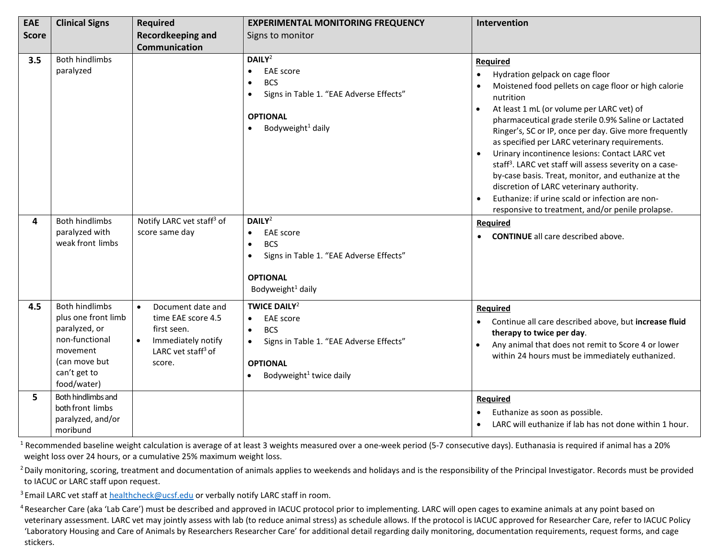| EAE          | <b>Clinical Signs</b>                                                                                                                       | Required                                                                                                                                           | <b>EXPERIMENTAL MONITORING FREQUENCY</b>                                                                                                                                           | Intervention                                                                                                                                                                                                                                                                                                                                                                                                                                                                                                                                                                                                                                                                       |
|--------------|---------------------------------------------------------------------------------------------------------------------------------------------|----------------------------------------------------------------------------------------------------------------------------------------------------|------------------------------------------------------------------------------------------------------------------------------------------------------------------------------------|------------------------------------------------------------------------------------------------------------------------------------------------------------------------------------------------------------------------------------------------------------------------------------------------------------------------------------------------------------------------------------------------------------------------------------------------------------------------------------------------------------------------------------------------------------------------------------------------------------------------------------------------------------------------------------|
| <b>Score</b> |                                                                                                                                             | <b>Recordkeeping and</b>                                                                                                                           | Signs to monitor                                                                                                                                                                   |                                                                                                                                                                                                                                                                                                                                                                                                                                                                                                                                                                                                                                                                                    |
| 3.5          | <b>Both hindlimbs</b>                                                                                                                       | <b>Communication</b>                                                                                                                               | DAILY <sup>2</sup>                                                                                                                                                                 | <b>Required</b>                                                                                                                                                                                                                                                                                                                                                                                                                                                                                                                                                                                                                                                                    |
|              | paralyzed                                                                                                                                   |                                                                                                                                                    | <b>EAE</b> score<br><b>BCS</b><br>Signs in Table 1. "EAE Adverse Effects"<br>$\bullet$<br><b>OPTIONAL</b><br>Bodyweight <sup>1</sup> daily                                         | Hydration gelpack on cage floor<br>$\bullet$<br>Moistened food pellets on cage floor or high calorie<br>nutrition<br>At least 1 mL (or volume per LARC vet) of<br>pharmaceutical grade sterile 0.9% Saline or Lactated<br>Ringer's, SC or IP, once per day. Give more frequently<br>as specified per LARC veterinary requirements.<br>Urinary incontinence lesions: Contact LARC vet<br>staff <sup>3</sup> . LARC vet staff will assess severity on a case-<br>by-case basis. Treat, monitor, and euthanize at the<br>discretion of LARC veterinary authority.<br>Euthanize: if urine scald or infection are non-<br>$\bullet$<br>responsive to treatment, and/or penile prolapse. |
| 4            | <b>Both hindlimbs</b><br>paralyzed with<br>weak front limbs                                                                                 | Notify LARC vet staff <sup>3</sup> of<br>score same day                                                                                            | DAILY <sup>2</sup><br><b>EAE</b> score<br>$\bullet$<br><b>BCS</b><br>Signs in Table 1. "EAE Adverse Effects"<br><b>OPTIONAL</b><br>Bodyweight <sup>1</sup> daily                   | <b>Required</b><br><b>CONTINUE</b> all care described above.<br>$\bullet$                                                                                                                                                                                                                                                                                                                                                                                                                                                                                                                                                                                                          |
| 4.5          | <b>Both hindlimbs</b><br>plus one front limb<br>paralyzed, or<br>non-functional<br>movement<br>(can move but<br>can't get to<br>food/water) | $\bullet$<br>Document date and<br>time EAE score 4.5<br>first seen.<br>Immediately notify<br>$\bullet$<br>LARC vet staff <sup>3</sup> of<br>score. | <b>TWICE DAILY<sup>2</sup></b><br><b>EAE</b> score<br><b>BCS</b><br>$\bullet$<br>Signs in Table 1. "EAE Adverse Effects"<br><b>OPTIONAL</b><br>Bodyweight <sup>1</sup> twice daily | <b>Required</b><br>Continue all care described above, but increase fluid<br>$\bullet$<br>therapy to twice per day.<br>Any animal that does not remit to Score 4 or lower<br>$\bullet$<br>within 24 hours must be immediately euthanized.                                                                                                                                                                                                                                                                                                                                                                                                                                           |
| 5.           | Both hindlimbs and<br>both front limbs<br>paralyzed, and/or<br>moribund                                                                     |                                                                                                                                                    |                                                                                                                                                                                    | Required<br>Euthanize as soon as possible.<br>LARC will euthanize if lab has not done within 1 hour.                                                                                                                                                                                                                                                                                                                                                                                                                                                                                                                                                                               |

<sup>1</sup> Recommended baseline weight calculation is average of at least 3 weights measured over a one-week period (5-7 consecutive days). Euthanasia is required if animal has a 20% weight loss over 24 hours, or a cumulative 25% maximum weight loss.

<sup>2</sup> Daily monitoring, scoring, treatment and documentation of animals applies to weekends and holidays and is the responsibility of the Principal Investigator. Records must be provided to IACUC or LARC staff upon request.

<sup>3</sup> Email LARC vet staff at [healthcheck@ucsf.edu](mailto:healthcheck@ucsf.edu) or verbally notify LARC staff in room.

<sup>4</sup> Researcher Care (aka 'Lab Care') must be described and approved in IACUC protocol prior to implementing. LARC will open cages to examine animals at any point based on veterinary assessment. LARC vet may jointly assess with lab (to reduce animal stress) as schedule allows. If the protocol is IACUC approved for Researcher Care, refer to IACUC Policy 'Laboratory Housing and Care of Animals by Researchers Researcher Care' for additional detail regarding daily monitoring, documentation requirements, request forms, and cage stickers.